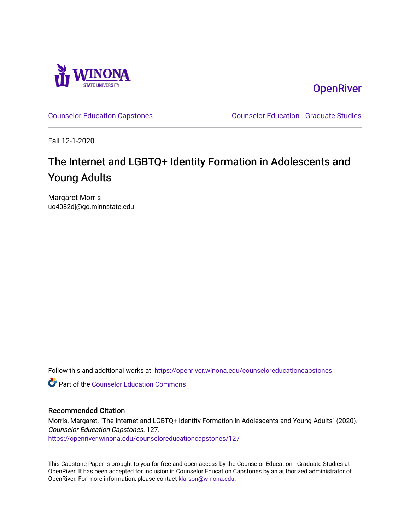

**OpenRiver** 

[Counselor Education Capstones](https://openriver.winona.edu/counseloreducationcapstones) [Counselor Education - Graduate Studies](https://openriver.winona.edu/counseloreducation) 

Fall 12-1-2020

# The Internet and LGBTQ+ Identity Formation in Adolescents and Young Adults

Margaret Morris uo4082dj@go.minnstate.edu

Follow this and additional works at: [https://openriver.winona.edu/counseloreducationcapstones](https://openriver.winona.edu/counseloreducationcapstones?utm_source=openriver.winona.edu%2Fcounseloreducationcapstones%2F127&utm_medium=PDF&utm_campaign=PDFCoverPages)

**C** Part of the Counselor Education Commons

#### Recommended Citation

Morris, Margaret, "The Internet and LGBTQ+ Identity Formation in Adolescents and Young Adults" (2020). Counselor Education Capstones. 127. [https://openriver.winona.edu/counseloreducationcapstones/127](https://openriver.winona.edu/counseloreducationcapstones/127?utm_source=openriver.winona.edu%2Fcounseloreducationcapstones%2F127&utm_medium=PDF&utm_campaign=PDFCoverPages)

This Capstone Paper is brought to you for free and open access by the Counselor Education - Graduate Studies at OpenRiver. It has been accepted for inclusion in Counselor Education Capstones by an authorized administrator of OpenRiver. For more information, please contact [klarson@winona.edu](mailto:klarson@winona.edu).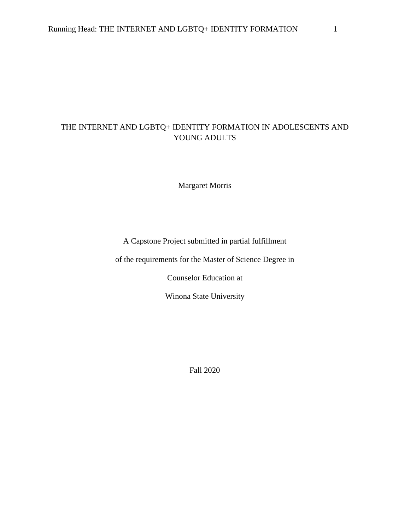# THE INTERNET AND LGBTQ+ IDENTITY FORMATION IN ADOLESCENTS AND YOUNG ADULTS

Margaret Morris

A Capstone Project submitted in partial fulfillment

of the requirements for the Master of Science Degree in

Counselor Education at

Winona State University

Fall 2020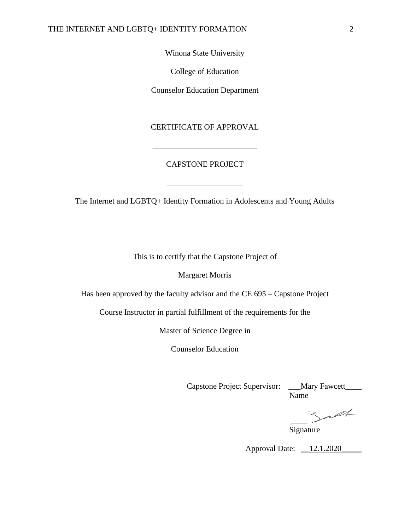Winona State University

College of Education

Counselor Education Department

## CERTIFICATE OF APPROVAL

## CAPSTONE PROJECT

\_\_\_\_\_\_\_\_\_\_\_\_\_\_\_\_\_\_\_\_\_\_\_\_\_\_

The Internet and LGBTQ+ Identity Formation in Adolescents and Young Adults

\_\_\_\_\_\_\_\_\_\_\_\_\_\_\_\_\_\_\_

This is to certify that the Capstone Project of

Margaret Morris

Has been approved by the faculty advisor and the CE 695 – Capstone Project

Course Instructor in partial fulfillment of the requirements for the

Master of Science Degree in

Counselor Education

Capstone Project Supervisor: \_\_\_Mary Fawcett\_\_\_\_\_

Name

\_\_\_\_

Signature

Approval Date: <u>12.1.2020</u>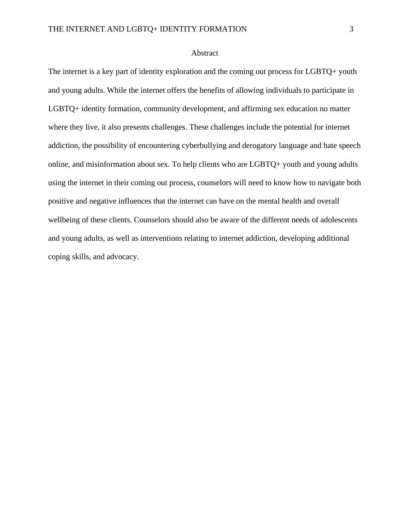#### Abstract

The internet is a key part of identity exploration and the coming out process for LGBTQ+ youth and young adults. While the internet offers the benefits of allowing individuals to participate in LGBTQ+ identity formation, community development, and affirming sex education no matter where they live, it also presents challenges. These challenges include the potential for internet addiction, the possibility of encountering cyberbullying and derogatory language and hate speech online, and misinformation about sex. To help clients who are LGBTQ+ youth and young adults using the internet in their coming out process, counselors will need to know how to navigate both positive and negative influences that the internet can have on the mental health and overall wellbeing of these clients. Counselors should also be aware of the different needs of adolescents and young adults, as well as interventions relating to internet addiction, developing additional coping skills, and advocacy.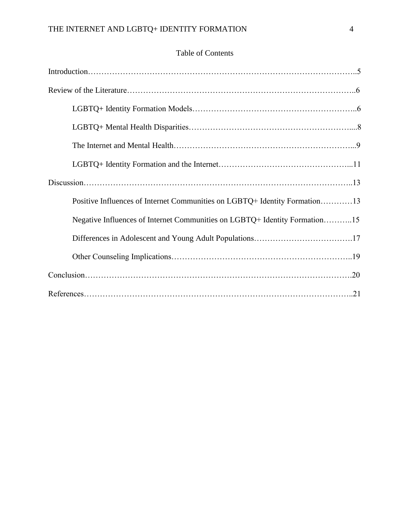# Table of Contents

| Positive Influences of Internet Communities on LGBTQ+ Identity Formation13 |
|----------------------------------------------------------------------------|
| Negative Influences of Internet Communities on LGBTQ+ Identity Formation15 |
|                                                                            |
|                                                                            |
|                                                                            |
|                                                                            |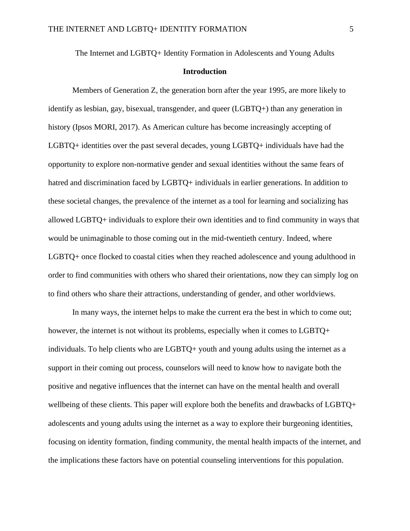The Internet and LGBTQ+ Identity Formation in Adolescents and Young Adults

### **Introduction**

Members of Generation Z, the generation born after the year 1995, are more likely to identify as lesbian, gay, bisexual, transgender, and queer (LGBTQ+) than any generation in history (Ipsos MORI, 2017). As American culture has become increasingly accepting of LGBTQ+ identities over the past several decades, young LGBTQ+ individuals have had the opportunity to explore non-normative gender and sexual identities without the same fears of hatred and discrimination faced by LGBTQ+ individuals in earlier generations. In addition to these societal changes, the prevalence of the internet as a tool for learning and socializing has allowed LGBTQ+ individuals to explore their own identities and to find community in ways that would be unimaginable to those coming out in the mid-twentieth century. Indeed, where LGBTQ+ once flocked to coastal cities when they reached adolescence and young adulthood in order to find communities with others who shared their orientations, now they can simply log on to find others who share their attractions, understanding of gender, and other worldviews.

In many ways, the internet helps to make the current era the best in which to come out; however, the internet is not without its problems, especially when it comes to LGBTQ+ individuals. To help clients who are LGBTQ+ youth and young adults using the internet as a support in their coming out process, counselors will need to know how to navigate both the positive and negative influences that the internet can have on the mental health and overall wellbeing of these clients. This paper will explore both the benefits and drawbacks of LGBTQ+ adolescents and young adults using the internet as a way to explore their burgeoning identities, focusing on identity formation, finding community, the mental health impacts of the internet, and the implications these factors have on potential counseling interventions for this population.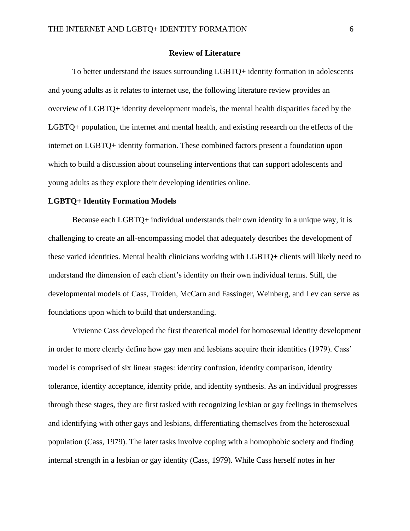#### **Review of Literature**

To better understand the issues surrounding LGBTQ+ identity formation in adolescents and young adults as it relates to internet use, the following literature review provides an overview of LGBTQ+ identity development models, the mental health disparities faced by the LGBTQ+ population, the internet and mental health, and existing research on the effects of the internet on LGBTQ+ identity formation. These combined factors present a foundation upon which to build a discussion about counseling interventions that can support adolescents and young adults as they explore their developing identities online.

#### **LGBTQ+ Identity Formation Models**

Because each LGBTQ+ individual understands their own identity in a unique way, it is challenging to create an all-encompassing model that adequately describes the development of these varied identities. Mental health clinicians working with LGBTQ+ clients will likely need to understand the dimension of each client's identity on their own individual terms. Still, the developmental models of Cass, Troiden, McCarn and Fassinger, Weinberg, and Lev can serve as foundations upon which to build that understanding.

Vivienne Cass developed the first theoretical model for homosexual identity development in order to more clearly define how gay men and lesbians acquire their identities (1979). Cass' model is comprised of six linear stages: identity confusion, identity comparison, identity tolerance, identity acceptance, identity pride, and identity synthesis. As an individual progresses through these stages, they are first tasked with recognizing lesbian or gay feelings in themselves and identifying with other gays and lesbians, differentiating themselves from the heterosexual population (Cass, 1979). The later tasks involve coping with a homophobic society and finding internal strength in a lesbian or gay identity (Cass, 1979). While Cass herself notes in her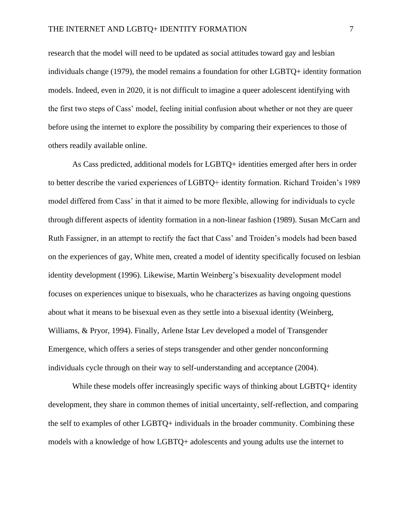research that the model will need to be updated as social attitudes toward gay and lesbian individuals change (1979), the model remains a foundation for other LGBTQ+ identity formation models. Indeed, even in 2020, it is not difficult to imagine a queer adolescent identifying with the first two steps of Cass' model, feeling initial confusion about whether or not they are queer before using the internet to explore the possibility by comparing their experiences to those of others readily available online.

As Cass predicted, additional models for LGBTQ+ identities emerged after hers in order to better describe the varied experiences of LGBTQ+ identity formation. Richard Troiden's 1989 model differed from Cass' in that it aimed to be more flexible, allowing for individuals to cycle through different aspects of identity formation in a non-linear fashion (1989). Susan McCarn and Ruth Fassigner, in an attempt to rectify the fact that Cass' and Troiden's models had been based on the experiences of gay, White men, created a model of identity specifically focused on lesbian identity development (1996). Likewise, Martin Weinberg's bisexuality development model focuses on experiences unique to bisexuals, who he characterizes as having ongoing questions about what it means to be bisexual even as they settle into a bisexual identity (Weinberg, Williams, & Pryor, 1994). Finally, Arlene Istar Lev developed a model of Transgender Emergence, which offers a series of steps transgender and other gender nonconforming individuals cycle through on their way to self-understanding and acceptance (2004).

While these models offer increasingly specific ways of thinking about LGBTQ+ identity development, they share in common themes of initial uncertainty, self-reflection, and comparing the self to examples of other LGBTQ+ individuals in the broader community. Combining these models with a knowledge of how LGBTQ+ adolescents and young adults use the internet to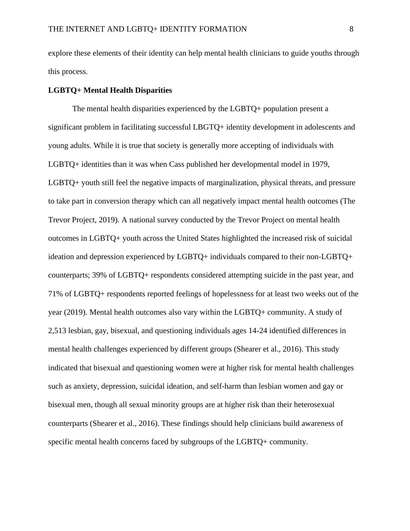explore these elements of their identity can help mental health clinicians to guide youths through this process.

#### **LGBTQ+ Mental Health Disparities**

The mental health disparities experienced by the LGBTQ+ population present a significant problem in facilitating successful LBGTQ+ identity development in adolescents and young adults. While it is true that society is generally more accepting of individuals with LGBTQ+ identities than it was when Cass published her developmental model in 1979, LGBTQ+ youth still feel the negative impacts of marginalization, physical threats, and pressure to take part in conversion therapy which can all negatively impact mental health outcomes (The Trevor Project, 2019). A national survey conducted by the Trevor Project on mental health outcomes in LGBTQ+ youth across the United States highlighted the increased risk of suicidal ideation and depression experienced by LGBTQ+ individuals compared to their non-LGBTQ+ counterparts; 39% of LGBTQ+ respondents considered attempting suicide in the past year, and 71% of LGBTQ+ respondents reported feelings of hopelessness for at least two weeks out of the year (2019). Mental health outcomes also vary within the LGBTQ+ community. A study of 2,513 lesbian, gay, bisexual, and questioning individuals ages 14-24 identified differences in mental health challenges experienced by different groups (Shearer et al., 2016). This study indicated that bisexual and questioning women were at higher risk for mental health challenges such as anxiety, depression, suicidal ideation, and self-harm than lesbian women and gay or bisexual men, though all sexual minority groups are at higher risk than their heterosexual counterparts (Shearer et al., 2016). These findings should help clinicians build awareness of specific mental health concerns faced by subgroups of the LGBTQ+ community.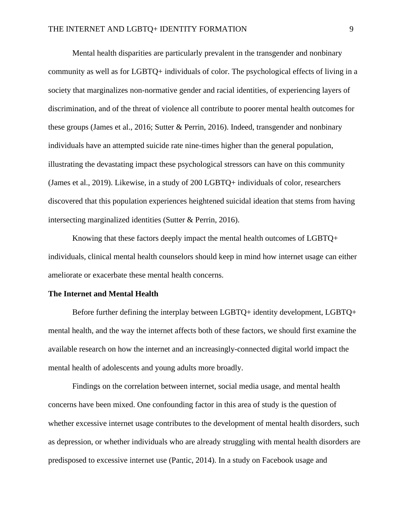Mental health disparities are particularly prevalent in the transgender and nonbinary community as well as for LGBTQ+ individuals of color. The psychological effects of living in a society that marginalizes non-normative gender and racial identities, of experiencing layers of discrimination, and of the threat of violence all contribute to poorer mental health outcomes for these groups (James et al., 2016; Sutter & Perrin, 2016). Indeed, transgender and nonbinary individuals have an attempted suicide rate nine-times higher than the general population, illustrating the devastating impact these psychological stressors can have on this community (James et al., 2019). Likewise, in a study of 200 LGBTQ+ individuals of color, researchers discovered that this population experiences heightened suicidal ideation that stems from having intersecting marginalized identities (Sutter & Perrin, 2016).

Knowing that these factors deeply impact the mental health outcomes of LGBTQ+ individuals, clinical mental health counselors should keep in mind how internet usage can either ameliorate or exacerbate these mental health concerns.

#### **The Internet and Mental Health**

Before further defining the interplay between LGBTQ+ identity development, LGBTQ+ mental health, and the way the internet affects both of these factors, we should first examine the available research on how the internet and an increasingly-connected digital world impact the mental health of adolescents and young adults more broadly.

Findings on the correlation between internet, social media usage, and mental health concerns have been mixed. One confounding factor in this area of study is the question of whether excessive internet usage contributes to the development of mental health disorders, such as depression, or whether individuals who are already struggling with mental health disorders are predisposed to excessive internet use (Pantic, 2014). In a study on Facebook usage and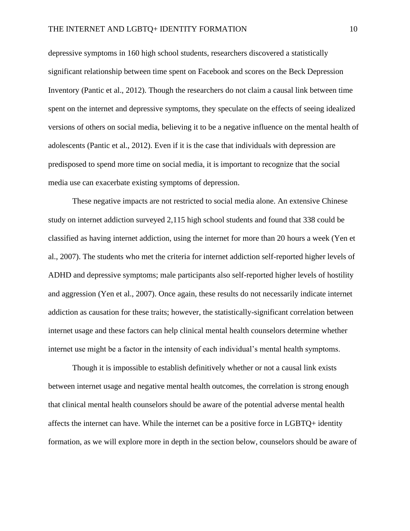depressive symptoms in 160 high school students, researchers discovered a statistically significant relationship between time spent on Facebook and scores on the Beck Depression Inventory (Pantic et al., 2012). Though the researchers do not claim a causal link between time spent on the internet and depressive symptoms, they speculate on the effects of seeing idealized versions of others on social media, believing it to be a negative influence on the mental health of adolescents (Pantic et al., 2012). Even if it is the case that individuals with depression are predisposed to spend more time on social media, it is important to recognize that the social media use can exacerbate existing symptoms of depression.

These negative impacts are not restricted to social media alone. An extensive Chinese study on internet addiction surveyed 2,115 high school students and found that 338 could be classified as having internet addiction, using the internet for more than 20 hours a week (Yen et al., 2007). The students who met the criteria for internet addiction self-reported higher levels of ADHD and depressive symptoms; male participants also self-reported higher levels of hostility and aggression (Yen et al., 2007). Once again, these results do not necessarily indicate internet addiction as causation for these traits; however, the statistically-significant correlation between internet usage and these factors can help clinical mental health counselors determine whether internet use might be a factor in the intensity of each individual's mental health symptoms.

Though it is impossible to establish definitively whether or not a causal link exists between internet usage and negative mental health outcomes, the correlation is strong enough that clinical mental health counselors should be aware of the potential adverse mental health affects the internet can have. While the internet can be a positive force in LGBTQ+ identity formation, as we will explore more in depth in the section below, counselors should be aware of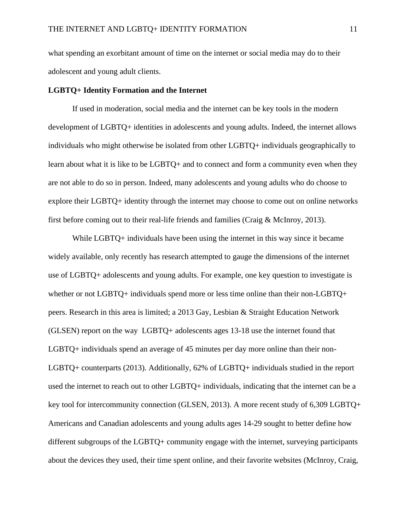what spending an exorbitant amount of time on the internet or social media may do to their adolescent and young adult clients.

#### **LGBTQ+ Identity Formation and the Internet**

If used in moderation, social media and the internet can be key tools in the modern development of LGBTQ+ identities in adolescents and young adults. Indeed, the internet allows individuals who might otherwise be isolated from other LGBTQ+ individuals geographically to learn about what it is like to be LGBTQ+ and to connect and form a community even when they are not able to do so in person. Indeed, many adolescents and young adults who do choose to explore their LGBTQ+ identity through the internet may choose to come out on online networks first before coming out to their real-life friends and families (Craig & McInroy, 2013).

While LGBTQ+ individuals have been using the internet in this way since it became widely available, only recently has research attempted to gauge the dimensions of the internet use of LGBTQ+ adolescents and young adults. For example, one key question to investigate is whether or not LGBTQ+ individuals spend more or less time online than their non-LGBTQ+ peers. Research in this area is limited; a 2013 Gay, Lesbian & Straight Education Network (GLSEN) report on the way LGBTQ+ adolescents ages 13-18 use the internet found that LGBTQ+ individuals spend an average of 45 minutes per day more online than their non-LGBTQ+ counterparts (2013). Additionally, 62% of LGBTQ+ individuals studied in the report used the internet to reach out to other LGBTQ+ individuals, indicating that the internet can be a key tool for intercommunity connection (GLSEN, 2013). A more recent study of 6,309 LGBTQ+ Americans and Canadian adolescents and young adults ages 14-29 sought to better define how different subgroups of the LGBTQ+ community engage with the internet, surveying participants about the devices they used, their time spent online, and their favorite websites (McInroy, Craig,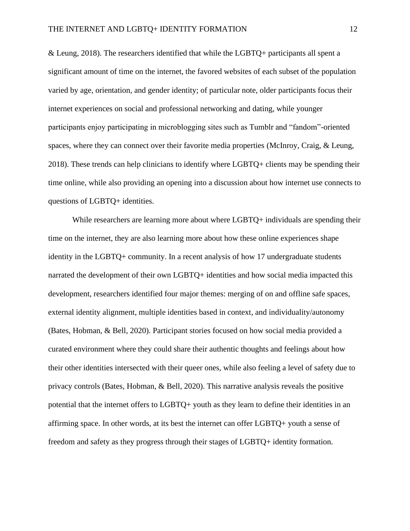& Leung, 2018). The researchers identified that while the LGBTQ+ participants all spent a significant amount of time on the internet, the favored websites of each subset of the population varied by age, orientation, and gender identity; of particular note, older participants focus their internet experiences on social and professional networking and dating, while younger participants enjoy participating in microblogging sites such as Tumblr and "fandom"-oriented spaces, where they can connect over their favorite media properties (McInroy, Craig, & Leung, 2018). These trends can help clinicians to identify where LGBTQ+ clients may be spending their time online, while also providing an opening into a discussion about how internet use connects to questions of LGBTQ+ identities.

While researchers are learning more about where LGBTQ+ individuals are spending their time on the internet, they are also learning more about how these online experiences shape identity in the LGBTQ+ community. In a recent analysis of how 17 undergraduate students narrated the development of their own LGBTQ+ identities and how social media impacted this development, researchers identified four major themes: merging of on and offline safe spaces, external identity alignment, multiple identities based in context, and individuality/autonomy (Bates, Hobman, & Bell, 2020). Participant stories focused on how social media provided a curated environment where they could share their authentic thoughts and feelings about how their other identities intersected with their queer ones, while also feeling a level of safety due to privacy controls (Bates, Hobman, & Bell, 2020). This narrative analysis reveals the positive potential that the internet offers to LGBTQ+ youth as they learn to define their identities in an affirming space. In other words, at its best the internet can offer LGBTQ+ youth a sense of freedom and safety as they progress through their stages of LGBTQ+ identity formation.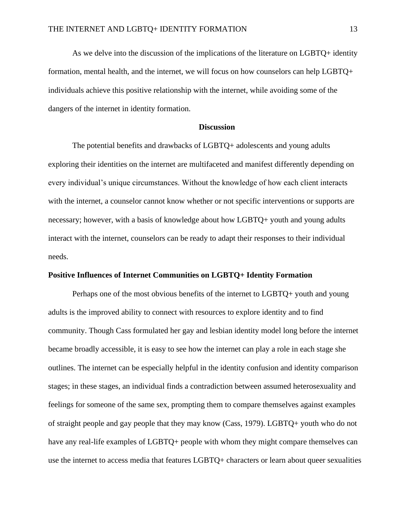As we delve into the discussion of the implications of the literature on LGBTQ+ identity formation, mental health, and the internet, we will focus on how counselors can help LGBTQ+ individuals achieve this positive relationship with the internet, while avoiding some of the dangers of the internet in identity formation.

#### **Discussion**

The potential benefits and drawbacks of LGBTQ+ adolescents and young adults exploring their identities on the internet are multifaceted and manifest differently depending on every individual's unique circumstances. Without the knowledge of how each client interacts with the internet, a counselor cannot know whether or not specific interventions or supports are necessary; however, with a basis of knowledge about how LGBTQ+ youth and young adults interact with the internet, counselors can be ready to adapt their responses to their individual needs.

#### **Positive Influences of Internet Communities on LGBTQ+ Identity Formation**

Perhaps one of the most obvious benefits of the internet to LGBTQ+ youth and young adults is the improved ability to connect with resources to explore identity and to find community. Though Cass formulated her gay and lesbian identity model long before the internet became broadly accessible, it is easy to see how the internet can play a role in each stage she outlines. The internet can be especially helpful in the identity confusion and identity comparison stages; in these stages, an individual finds a contradiction between assumed heterosexuality and feelings for someone of the same sex, prompting them to compare themselves against examples of straight people and gay people that they may know (Cass, 1979). LGBTQ+ youth who do not have any real-life examples of LGBTQ+ people with whom they might compare themselves can use the internet to access media that features LGBTQ+ characters or learn about queer sexualities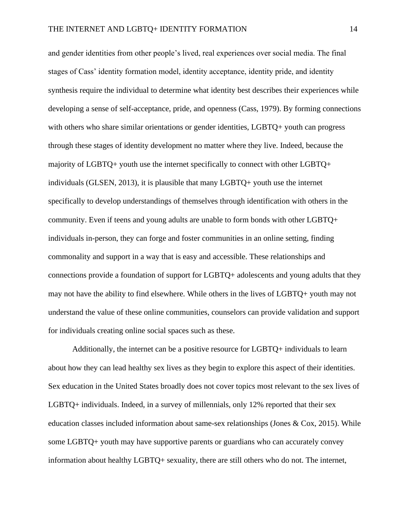and gender identities from other people's lived, real experiences over social media. The final stages of Cass' identity formation model, identity acceptance, identity pride, and identity synthesis require the individual to determine what identity best describes their experiences while developing a sense of self-acceptance, pride, and openness (Cass, 1979). By forming connections with others who share similar orientations or gender identities, LGBTQ+ youth can progress through these stages of identity development no matter where they live. Indeed, because the majority of LGBTQ+ youth use the internet specifically to connect with other LGBTQ+ individuals (GLSEN, 2013), it is plausible that many LGBTQ+ youth use the internet specifically to develop understandings of themselves through identification with others in the community. Even if teens and young adults are unable to form bonds with other LGBTQ+ individuals in-person, they can forge and foster communities in an online setting, finding commonality and support in a way that is easy and accessible. These relationships and connections provide a foundation of support for LGBTQ+ adolescents and young adults that they may not have the ability to find elsewhere. While others in the lives of LGBTQ+ youth may not understand the value of these online communities, counselors can provide validation and support for individuals creating online social spaces such as these.

Additionally, the internet can be a positive resource for LGBTQ+ individuals to learn about how they can lead healthy sex lives as they begin to explore this aspect of their identities. Sex education in the United States broadly does not cover topics most relevant to the sex lives of LGBTQ+ individuals. Indeed, in a survey of millennials, only 12% reported that their sex education classes included information about same-sex relationships (Jones & Cox, 2015). While some LGBTQ+ youth may have supportive parents or guardians who can accurately convey information about healthy LGBTQ+ sexuality, there are still others who do not. The internet,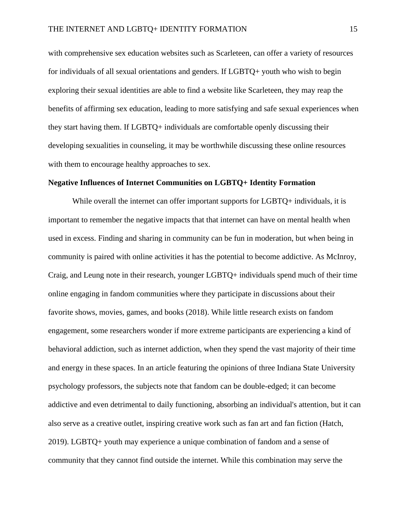with comprehensive sex education websites such as Scarleteen, can offer a variety of resources for individuals of all sexual orientations and genders. If LGBTQ+ youth who wish to begin exploring their sexual identities are able to find a website like Scarleteen, they may reap the benefits of affirming sex education, leading to more satisfying and safe sexual experiences when they start having them. If LGBTQ+ individuals are comfortable openly discussing their developing sexualities in counseling, it may be worthwhile discussing these online resources with them to encourage healthy approaches to sex.

#### **Negative Influences of Internet Communities on LGBTQ+ Identity Formation**

While overall the internet can offer important supports for LGBTQ+ individuals, it is important to remember the negative impacts that that internet can have on mental health when used in excess. Finding and sharing in community can be fun in moderation, but when being in community is paired with online activities it has the potential to become addictive. As McInroy, Craig, and Leung note in their research, younger LGBTQ+ individuals spend much of their time online engaging in fandom communities where they participate in discussions about their favorite shows, movies, games, and books (2018). While little research exists on fandom engagement, some researchers wonder if more extreme participants are experiencing a kind of behavioral addiction, such as internet addiction, when they spend the vast majority of their time and energy in these spaces. In an article featuring the opinions of three Indiana State University psychology professors, the subjects note that fandom can be double-edged; it can become addictive and even detrimental to daily functioning, absorbing an individual's attention, but it can also serve as a creative outlet, inspiring creative work such as fan art and fan fiction (Hatch, 2019). LGBTQ+ youth may experience a unique combination of fandom and a sense of community that they cannot find outside the internet. While this combination may serve the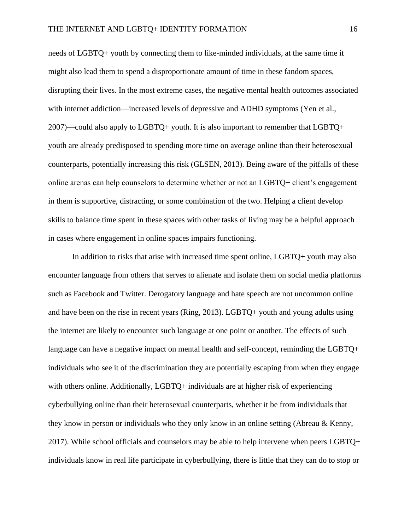needs of LGBTQ+ youth by connecting them to like-minded individuals, at the same time it might also lead them to spend a disproportionate amount of time in these fandom spaces, disrupting their lives. In the most extreme cases, the negative mental health outcomes associated with internet addiction—increased levels of depressive and ADHD symptoms (Yen et al., 2007)—could also apply to LGBTQ+ youth. It is also important to remember that LGBTQ+ youth are already predisposed to spending more time on average online than their heterosexual counterparts, potentially increasing this risk (GLSEN, 2013). Being aware of the pitfalls of these online arenas can help counselors to determine whether or not an LGBTQ+ client's engagement in them is supportive, distracting, or some combination of the two. Helping a client develop skills to balance time spent in these spaces with other tasks of living may be a helpful approach in cases where engagement in online spaces impairs functioning.

In addition to risks that arise with increased time spent online, LGBTQ+ youth may also encounter language from others that serves to alienate and isolate them on social media platforms such as Facebook and Twitter. Derogatory language and hate speech are not uncommon online and have been on the rise in recent years (Ring, 2013). LGBTQ+ youth and young adults using the internet are likely to encounter such language at one point or another. The effects of such language can have a negative impact on mental health and self-concept, reminding the LGBTQ+ individuals who see it of the discrimination they are potentially escaping from when they engage with others online. Additionally, LGBTQ+ individuals are at higher risk of experiencing cyberbullying online than their heterosexual counterparts, whether it be from individuals that they know in person or individuals who they only know in an online setting (Abreau & Kenny, 2017). While school officials and counselors may be able to help intervene when peers LGBTQ+ individuals know in real life participate in cyberbullying, there is little that they can do to stop or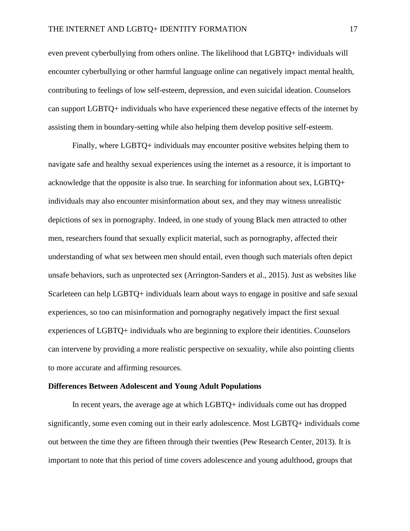even prevent cyberbullying from others online. The likelihood that LGBTQ+ individuals will encounter cyberbullying or other harmful language online can negatively impact mental health, contributing to feelings of low self-esteem, depression, and even suicidal ideation. Counselors can support LGBTQ+ individuals who have experienced these negative effects of the internet by assisting them in boundary-setting while also helping them develop positive self-esteem.

Finally, where LGBTQ+ individuals may encounter positive websites helping them to navigate safe and healthy sexual experiences using the internet as a resource, it is important to acknowledge that the opposite is also true. In searching for information about sex, LGBTQ+ individuals may also encounter misinformation about sex, and they may witness unrealistic depictions of sex in pornography. Indeed, in one study of young Black men attracted to other men, researchers found that sexually explicit material, such as pornography, affected their understanding of what sex between men should entail, even though such materials often depict unsafe behaviors, such as unprotected sex (Arrington-Sanders et al., 2015). Just as websites like Scarleteen can help LGBTQ+ individuals learn about ways to engage in positive and safe sexual experiences, so too can misinformation and pornography negatively impact the first sexual experiences of LGBTQ+ individuals who are beginning to explore their identities. Counselors can intervene by providing a more realistic perspective on sexuality, while also pointing clients to more accurate and affirming resources.

#### **Differences Between Adolescent and Young Adult Populations**

In recent years, the average age at which LGBTQ+ individuals come out has dropped significantly, some even coming out in their early adolescence. Most LGBTQ+ individuals come out between the time they are fifteen through their twenties (Pew Research Center, 2013). It is important to note that this period of time covers adolescence and young adulthood, groups that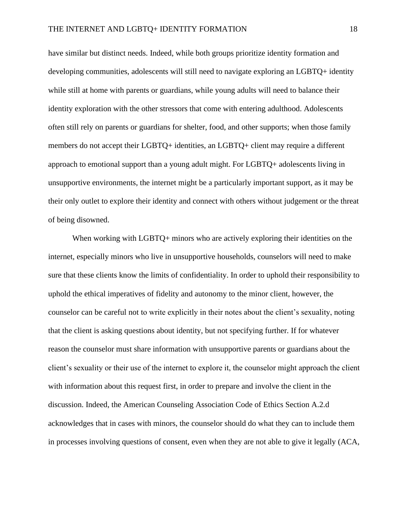have similar but distinct needs. Indeed, while both groups prioritize identity formation and developing communities, adolescents will still need to navigate exploring an LGBTQ+ identity while still at home with parents or guardians, while young adults will need to balance their identity exploration with the other stressors that come with entering adulthood. Adolescents often still rely on parents or guardians for shelter, food, and other supports; when those family members do not accept their LGBTQ+ identities, an LGBTQ+ client may require a different approach to emotional support than a young adult might. For LGBTQ+ adolescents living in unsupportive environments, the internet might be a particularly important support, as it may be their only outlet to explore their identity and connect with others without judgement or the threat of being disowned.

When working with LGBTQ+ minors who are actively exploring their identities on the internet, especially minors who live in unsupportive households, counselors will need to make sure that these clients know the limits of confidentiality. In order to uphold their responsibility to uphold the ethical imperatives of fidelity and autonomy to the minor client, however, the counselor can be careful not to write explicitly in their notes about the client's sexuality, noting that the client is asking questions about identity, but not specifying further. If for whatever reason the counselor must share information with unsupportive parents or guardians about the client's sexuality or their use of the internet to explore it, the counselor might approach the client with information about this request first, in order to prepare and involve the client in the discussion. Indeed, the American Counseling Association Code of Ethics Section A.2.d acknowledges that in cases with minors, the counselor should do what they can to include them in processes involving questions of consent, even when they are not able to give it legally (ACA,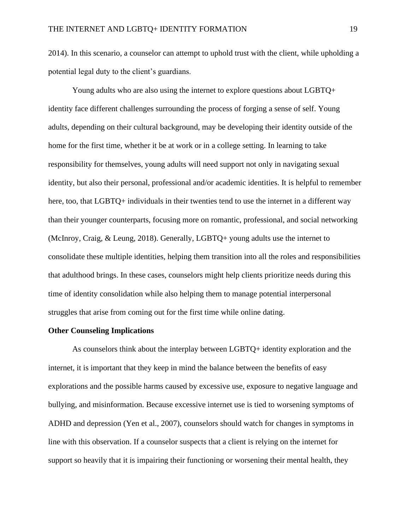2014). In this scenario, a counselor can attempt to uphold trust with the client, while upholding a potential legal duty to the client's guardians.

Young adults who are also using the internet to explore questions about LGBTQ+ identity face different challenges surrounding the process of forging a sense of self. Young adults, depending on their cultural background, may be developing their identity outside of the home for the first time, whether it be at work or in a college setting. In learning to take responsibility for themselves, young adults will need support not only in navigating sexual identity, but also their personal, professional and/or academic identities. It is helpful to remember here, too, that LGBTQ+ individuals in their twenties tend to use the internet in a different way than their younger counterparts, focusing more on romantic, professional, and social networking (McInroy, Craig, & Leung, 2018). Generally, LGBTQ+ young adults use the internet to consolidate these multiple identities, helping them transition into all the roles and responsibilities that adulthood brings. In these cases, counselors might help clients prioritize needs during this time of identity consolidation while also helping them to manage potential interpersonal struggles that arise from coming out for the first time while online dating.

#### **Other Counseling Implications**

As counselors think about the interplay between LGBTQ+ identity exploration and the internet, it is important that they keep in mind the balance between the benefits of easy explorations and the possible harms caused by excessive use, exposure to negative language and bullying, and misinformation. Because excessive internet use is tied to worsening symptoms of ADHD and depression (Yen et al., 2007), counselors should watch for changes in symptoms in line with this observation. If a counselor suspects that a client is relying on the internet for support so heavily that it is impairing their functioning or worsening their mental health, they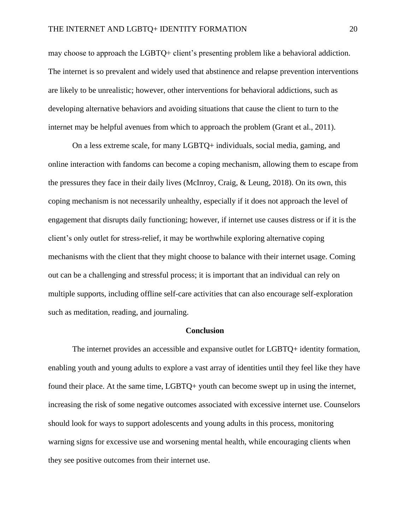may choose to approach the LGBTQ+ client's presenting problem like a behavioral addiction. The internet is so prevalent and widely used that abstinence and relapse prevention interventions are likely to be unrealistic; however, other interventions for behavioral addictions, such as developing alternative behaviors and avoiding situations that cause the client to turn to the internet may be helpful avenues from which to approach the problem (Grant et al., 2011).

On a less extreme scale, for many LGBTQ+ individuals, social media, gaming, and online interaction with fandoms can become a coping mechanism, allowing them to escape from the pressures they face in their daily lives (McInroy, Craig, & Leung, 2018). On its own, this coping mechanism is not necessarily unhealthy, especially if it does not approach the level of engagement that disrupts daily functioning; however, if internet use causes distress or if it is the client's only outlet for stress-relief, it may be worthwhile exploring alternative coping mechanisms with the client that they might choose to balance with their internet usage. Coming out can be a challenging and stressful process; it is important that an individual can rely on multiple supports, including offline self-care activities that can also encourage self-exploration such as meditation, reading, and journaling.

#### **Conclusion**

The internet provides an accessible and expansive outlet for LGBTQ+ identity formation, enabling youth and young adults to explore a vast array of identities until they feel like they have found their place. At the same time, LGBTQ+ youth can become swept up in using the internet, increasing the risk of some negative outcomes associated with excessive internet use. Counselors should look for ways to support adolescents and young adults in this process, monitoring warning signs for excessive use and worsening mental health, while encouraging clients when they see positive outcomes from their internet use.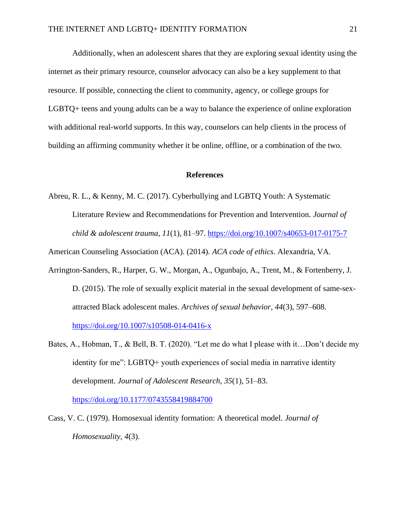Additionally, when an adolescent shares that they are exploring sexual identity using the internet as their primary resource, counselor advocacy can also be a key supplement to that resource. If possible, connecting the client to community, agency, or college groups for LGBTQ+ teens and young adults can be a way to balance the experience of online exploration with additional real-world supports. In this way, counselors can help clients in the process of building an affirming community whether it be online, offline, or a combination of the two.

#### **References**

Abreu, R. L., & Kenny, M. C. (2017). Cyberbullying and LGBTQ Youth: A Systematic Literature Review and Recommendations for Prevention and Intervention. *Journal of child & adolescent trauma*, *11*(1), 81–97. <https://doi.org/10.1007/s40653-017-0175-7>

American Counseling Association (ACA). (2014). *ACA code of ethics*. Alexandria, VA.

- Arrington-Sanders, R., Harper, G. W., Morgan, A., Ogunbajo, A., Trent, M., & Fortenberry, J. D. (2015). The role of sexually explicit material in the sexual development of same-sexattracted Black adolescent males. *Archives of sexual behavior*, *44*(3), 597–608. <https://doi.org/10.1007/s10508-014-0416-x>
- Bates, A., Hobman, T., & Bell, B. T. (2020). "Let me do what I please with it…Don't decide my identity for me": LGBTQ+ youth experiences of social media in narrative identity development. *Journal of Adolescent Research, 35*(1), 51–83.

<https://doi.org/10.1177/0743558419884700>

Cass, V. C. (1979). Homosexual identity formation: A theoretical model. *Journal of Homosexuality, 4*(3).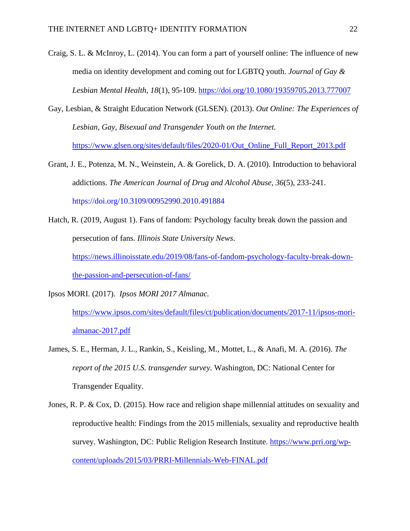- Craig, S. L. & McInroy, L. (2014). You can form a part of yourself online: The influence of new media on identity development and coming out for LGBTQ youth. *Journal of Gay & Lesbian Mental Health, 18*(1), 95-109.<https://doi.org/10.1080/19359705.2013.777007>
- Gay, Lesbian, & Straight Education Network (GLSEN). (2013). *Out Online: The Experiences of Lesbian, Gay, Bisexual and Transgender Youth on the Internet.*  [https://www.glsen.org/sites/default/files/2020-01/Out\\_Online\\_Full\\_Report\\_2013.pdf](https://www.glsen.org/sites/default/files/2020-01/Out_Online_Full_Report_2013.pdf)
- Grant, J. E., Potenza, M. N., Weinstein, A. & Gorelick, D. A. (2010). Introduction to behavioral addictions. *The American Journal of Drug and Alcohol Abuse, 36*(5), 233-241. <https://doi.org/10.3109/00952990.2010.491884>
- Hatch, R. (2019, August 1). Fans of fandom: Psychology faculty break down the passion and persecution of fans. *Illinois State University News*. [https://news.illinoisstate.edu/2019/08/fans-of-fandom-psychology-faculty-break-down](https://news.illinoisstate.edu/2019/08/fans-of-fandom-psychology-faculty-break-down-the-passion-and-persecution-of-fans/)[the-passion-and-persecution-of-fans/](https://news.illinoisstate.edu/2019/08/fans-of-fandom-psychology-faculty-break-down-the-passion-and-persecution-of-fans/)

Ipsos MORI. (2017). *Ipsos MORI 2017 Almanac.* 

[https://www.ipsos.com/sites/default/files/ct/publication/documents/2017-11/ipsos-mori](https://www.ipsos.com/sites/default/files/ct/publication/documents/2017-11/ipsos-mori-almanac-2017.pdf)[almanac-2017.pdf](https://www.ipsos.com/sites/default/files/ct/publication/documents/2017-11/ipsos-mori-almanac-2017.pdf)

- James, S. E., Herman, J. L., Rankin, S., Keisling, M., Mottet, L., & Anafi, M. A. (2016). *The report of the 2015 U.S. transgender survey.* Washington, DC: National Center for Transgender Equality.
- Jones, R. P. & Cox, D. (2015). How race and religion shape millennial attitudes on sexuality and reproductive health: Findings from the 2015 millenials, sexuality and reproductive health survey. Washington, DC: Public Religion Research Institute. [https://www.prri.org/wp](https://www.prri.org/wp-content/uploads/2015/03/PRRI-Millennials-Web-FINAL.pdf)[content/uploads/2015/03/PRRI-Millennials-Web-FINAL.pdf](https://www.prri.org/wp-content/uploads/2015/03/PRRI-Millennials-Web-FINAL.pdf)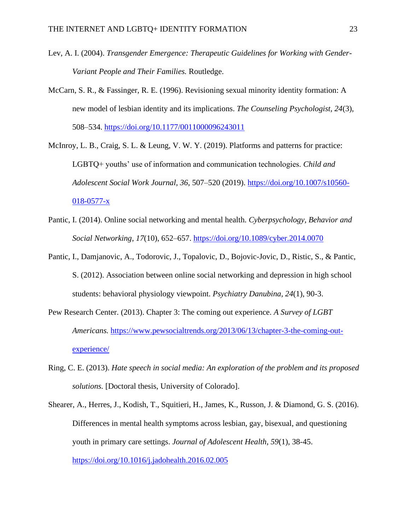- Lev, A. I. (2004). *Transgender Emergence: Therapeutic Guidelines for Working with Gender-Variant People and Their Families.* Routledge.
- McCarn, S. R., & Fassinger, R. E. (1996). Revisioning sexual minority identity formation: A new model of lesbian identity and its implications. *The Counseling Psychologist, 24*(3), 508–534. [https://doi.org/10.1177/0011000096243011](https://psycnet.apa.org/doi/10.1177/0011000096243011)
- McInroy, L. B., Craig, S. L. & Leung, V. W. Y. (2019). Platforms and patterns for practice: LGBTQ+ youths' use of information and communication technologies. *Child and Adolescent Social Work Journal, 36*, 507–520 (2019). [https://doi.org/10.1007/s10560-](https://doi.org/10.1007/s10560-018-0577-x) [018-0577-x](https://doi.org/10.1007/s10560-018-0577-x)
- Pantic, I. (2014). Online social networking and mental health. *Cyberpsychology, Behavior and Social Networking*, *17*(10), 652–657. <https://doi.org/10.1089/cyber.2014.0070>
- Pantic, I., Damjanovic, A., Todorovic, J., Topalovic, D., Bojovic-Jovic, D., Ristic, S., & Pantic, S. (2012). Association between online social networking and depression in high school students: behavioral physiology viewpoint. *Psychiatry Danubina, 24*(1), 90-3.
- Pew Research Center. (2013). Chapter 3: The coming out experience. *A Survey of LGBT Americans.* [https://www.pewsocialtrends.org/2013/06/13/chapter-3-the-coming-out](https://www.pewsocialtrends.org/2013/06/13/chapter-3-the-coming-out-experience/)[experience/](https://www.pewsocialtrends.org/2013/06/13/chapter-3-the-coming-out-experience/)
- Ring, C. E. (2013). *Hate speech in social media: An exploration of the problem and its proposed solutions.* [Doctoral thesis, University of Colorado].
- Shearer, A., Herres, J., Kodish, T., Squitieri, H., James, K., Russon, J. & Diamond, G. S. (2016). Differences in mental health symptoms across lesbian, gay, bisexual, and questioning youth in primary care settings. *Journal of Adolescent Health*, *59*(1), 38-45. <https://doi.org/10.1016/j.jadohealth.2016.02.005>